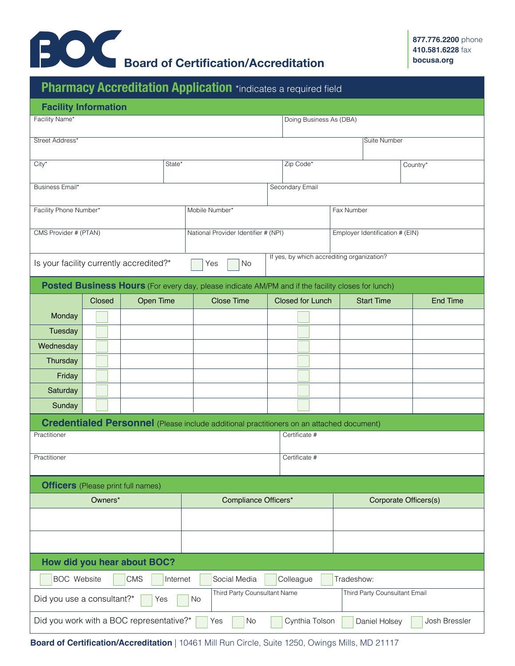

|                                                                                                                 |        | Pharmacy Accreditation Application *indicates a required field |  |                                      |  |  |                                            |  |                       |                 |  |
|-----------------------------------------------------------------------------------------------------------------|--------|----------------------------------------------------------------|--|--------------------------------------|--|--|--------------------------------------------|--|-----------------------|-----------------|--|
| <b>Facility Information</b>                                                                                     |        |                                                                |  |                                      |  |  |                                            |  |                       |                 |  |
| Facility Name*                                                                                                  |        |                                                                |  |                                      |  |  | Doing Business As (DBA)                    |  |                       |                 |  |
| Street Address*                                                                                                 |        |                                                                |  |                                      |  |  |                                            |  | <b>Suite Number</b>   |                 |  |
| $City*$<br>State*                                                                                               |        |                                                                |  |                                      |  |  | Zip Code*                                  |  | Country*              |                 |  |
| Business Email*                                                                                                 |        |                                                                |  |                                      |  |  | Secondary Email                            |  |                       |                 |  |
| Facility Phone Number*                                                                                          |        |                                                                |  | Mobile Number*                       |  |  | Fax Number                                 |  |                       |                 |  |
|                                                                                                                 |        |                                                                |  |                                      |  |  |                                            |  |                       |                 |  |
| CMS Provider # (PTAN)                                                                                           |        |                                                                |  | National Provider Identifier # (NPI) |  |  | Employer Identification # (EIN)            |  |                       |                 |  |
|                                                                                                                 |        | Is your facility currently accredited?*                        |  | Yes<br>No                            |  |  | If yes, by which accrediting organization? |  |                       |                 |  |
| <b>Posted Business Hours</b> (For every day, please indicate AM/PM and if the facility closes for lunch)        |        |                                                                |  |                                      |  |  |                                            |  |                       |                 |  |
|                                                                                                                 | Closed | <b>Open Time</b>                                               |  | <b>Close Time</b>                    |  |  | <b>Closed for Lunch</b>                    |  | <b>Start Time</b>     | <b>End Time</b> |  |
| Monday                                                                                                          |        |                                                                |  |                                      |  |  |                                            |  |                       |                 |  |
| Tuesday                                                                                                         |        |                                                                |  |                                      |  |  |                                            |  |                       |                 |  |
| Wednesday                                                                                                       |        |                                                                |  |                                      |  |  |                                            |  |                       |                 |  |
| Thursday                                                                                                        |        |                                                                |  |                                      |  |  |                                            |  |                       |                 |  |
| Friday                                                                                                          |        |                                                                |  |                                      |  |  |                                            |  |                       |                 |  |
| Saturday                                                                                                        |        |                                                                |  |                                      |  |  |                                            |  |                       |                 |  |
| Sunday                                                                                                          |        |                                                                |  |                                      |  |  |                                            |  |                       |                 |  |
| <b>Credentialed Personnel</b> (Please include additional practitioners on an attached document)                 |        |                                                                |  |                                      |  |  |                                            |  |                       |                 |  |
| Practitioner                                                                                                    |        |                                                                |  |                                      |  |  | Certificate #                              |  |                       |                 |  |
| Practitioner                                                                                                    |        |                                                                |  | Certificate #                        |  |  |                                            |  |                       |                 |  |
| <b>Officers</b> (Please print full names)                                                                       |        |                                                                |  |                                      |  |  |                                            |  |                       |                 |  |
| Owners*                                                                                                         |        |                                                                |  | Compliance Officers*                 |  |  |                                            |  | Corporate Officers(s) |                 |  |
|                                                                                                                 |        |                                                                |  |                                      |  |  |                                            |  |                       |                 |  |
|                                                                                                                 |        |                                                                |  |                                      |  |  |                                            |  |                       |                 |  |
|                                                                                                                 |        | How did you hear about BOC?                                    |  |                                      |  |  |                                            |  |                       |                 |  |
| <b>BOC</b> Website<br><b>CMS</b><br>Social Media<br>Colleague<br>Tradeshow:<br>Internet                         |        |                                                                |  |                                      |  |  |                                            |  |                       |                 |  |
| Third Party Counsultant Name<br>Third Party Counsultant Email<br>Did you use a consultant?*<br>Yes<br><b>No</b> |        |                                                                |  |                                      |  |  |                                            |  |                       |                 |  |
| Did you work with a BOC representative?*<br>Cynthia Tolson<br>Josh Bressler<br>Yes<br>No<br>Daniel Holsey       |        |                                                                |  |                                      |  |  |                                            |  |                       |                 |  |

**Board of Certification/Accreditation** | 10461 Mill Run Circle, Suite 1250, Owings Mills, MD 21117